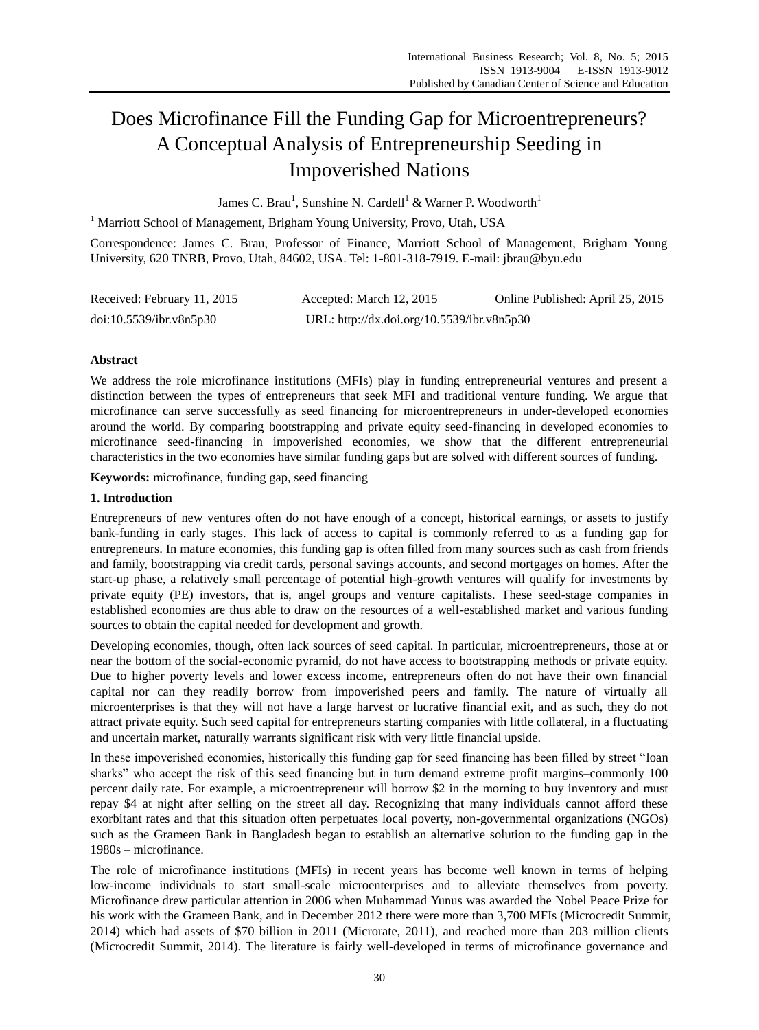# Does Microfinance Fill the Funding Gap for Microentrepreneurs? A Conceptual Analysis of Entrepreneurship Seeding in Impoverished Nations

James C. Brau<sup>1</sup>, Sunshine N. Cardell<sup>1</sup> & Warner P. Woodworth<sup>1</sup>

<sup>1</sup> Marriott School of Management, Brigham Young University, Provo, Utah, USA

Correspondence: James C. Brau, Professor of Finance, Marriott School of Management, Brigham Young University, 620 TNRB, Provo, Utah, 84602, USA. Tel: 1-801-318-7919. E-mail: jbrau@byu.edu

| Received: February 11, 2015 | Accepted: March 12, 2015                   | Online Published: April 25, 2015 |
|-----------------------------|--------------------------------------------|----------------------------------|
| doi:10.5539/ibr.v8n5p30     | URL: http://dx.doi.org/10.5539/ibr.v8n5p30 |                                  |

# **Abstract**

We address the role microfinance institutions (MFIs) play in funding entrepreneurial ventures and present a distinction between the types of entrepreneurs that seek MFI and traditional venture funding. We argue that microfinance can serve successfully as seed financing for microentrepreneurs in under-developed economies around the world. By comparing bootstrapping and private equity seed-financing in developed economies to microfinance seed-financing in impoverished economies, we show that the different entrepreneurial characteristics in the two economies have similar funding gaps but are solved with different sources of funding.

**Keywords:** microfinance, funding gap, seed financing

## **1. Introduction**

Entrepreneurs of new ventures often do not have enough of a concept, historical earnings, or assets to justify bank-funding in early stages. This lack of access to capital is commonly referred to as a funding gap for entrepreneurs. In mature economies, this funding gap is often filled from many sources such as cash from friends and family, bootstrapping via credit cards, personal savings accounts, and second mortgages on homes. After the start-up phase, a relatively small percentage of potential high-growth ventures will qualify for investments by private equity (PE) investors, that is, angel groups and venture capitalists. These seed-stage companies in established economies are thus able to draw on the resources of a well-established market and various funding sources to obtain the capital needed for development and growth.

Developing economies, though, often lack sources of seed capital. In particular, microentrepreneurs, those at or near the bottom of the social-economic pyramid, do not have access to bootstrapping methods or private equity. Due to higher poverty levels and lower excess income, entrepreneurs often do not have their own financial capital nor can they readily borrow from impoverished peers and family. The nature of virtually all microenterprises is that they will not have a large harvest or lucrative financial exit, and as such, they do not attract private equity. Such seed capital for entrepreneurs starting companies with little collateral, in a fluctuating and uncertain market, naturally warrants significant risk with very little financial upside.

In these impoverished economies, historically this funding gap for seed financing has been filled by street "loan sharks" who accept the risk of this seed financing but in turn demand extreme profit margins–commonly 100 percent daily rate. For example, a microentrepreneur will borrow \$2 in the morning to buy inventory and must repay \$4 at night after selling on the street all day. Recognizing that many individuals cannot afford these exorbitant rates and that this situation often perpetuates local poverty, non-governmental organizations (NGOs) such as the Grameen Bank in Bangladesh began to establish an alternative solution to the funding gap in the 1980s – microfinance.

The role of microfinance institutions (MFIs) in recent years has become well known in terms of helping low-income individuals to start small-scale microenterprises and to alleviate themselves from poverty. Microfinance drew particular attention in 2006 when Muhammad Yunus was awarded the Nobel Peace Prize for his work with the Grameen Bank, and in December 2012 there were more than 3,700 MFIs (Microcredit Summit, 2014) which had assets of \$70 billion in 2011 (Microrate, 2011), and reached more than 203 million clients (Microcredit Summit, 2014). The literature is fairly well-developed in terms of microfinance governance and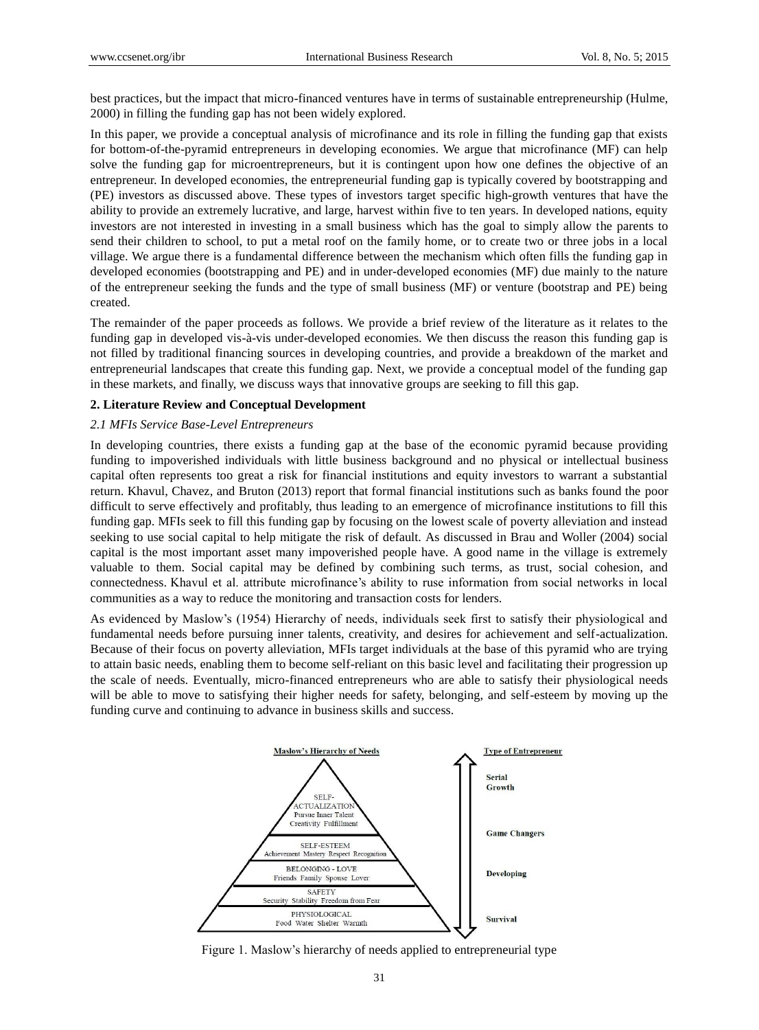best practices, but the impact that micro-financed ventures have in terms of sustainable entrepreneurship (Hulme, 2000) in filling the funding gap has not been widely explored.

In this paper, we provide a conceptual analysis of microfinance and its role in filling the funding gap that exists for bottom-of-the-pyramid entrepreneurs in developing economies. We argue that microfinance (MF) can help solve the funding gap for microentrepreneurs, but it is contingent upon how one defines the objective of an entrepreneur. In developed economies, the entrepreneurial funding gap is typically covered by bootstrapping and (PE) investors as discussed above. These types of investors target specific high-growth ventures that have the ability to provide an extremely lucrative, and large, harvest within five to ten years. In developed nations, equity investors are not interested in investing in a small business which has the goal to simply allow the parents to send their children to school, to put a metal roof on the family home, or to create two or three jobs in a local village. We argue there is a fundamental difference between the mechanism which often fills the funding gap in developed economies (bootstrapping and PE) and in under-developed economies (MF) due mainly to the nature of the entrepreneur seeking the funds and the type of small business (MF) or venture (bootstrap and PE) being created.

The remainder of the paper proceeds as follows. We provide a brief review of the literature as it relates to the funding gap in developed vis- $\lambda$ -vis under-developed economies. We then discuss the reason this funding gap is not filled by traditional financing sources in developing countries, and provide a breakdown of the market and entrepreneurial landscapes that create this funding gap. Next, we provide a conceptual model of the funding gap in these markets, and finally, we discuss ways that innovative groups are seeking to fill this gap.

# **2. Literature Review and Conceptual Development**

#### *2.1 MFIs Service Base-Level Entrepreneurs*

In developing countries, there exists a funding gap at the base of the economic pyramid because providing funding to impoverished individuals with little business background and no physical or intellectual business capital often represents too great a risk for financial institutions and equity investors to warrant a substantial return. Khavul, Chavez, and Bruton (2013) report that formal financial institutions such as banks found the poor difficult to serve effectively and profitably, thus leading to an emergence of microfinance institutions to fill this funding gap. MFIs seek to fill this funding gap by focusing on the lowest scale of poverty alleviation and instead seeking to use social capital to help mitigate the risk of default. As discussed in Brau and Woller (2004) social capital is the most important asset many impoverished people have. A good name in the village is extremely valuable to them. Social capital may be defined by combining such terms, as trust, social cohesion, and connectedness. Khavul et al. attribute microfinance's ability to ruse information from social networks in local communities as a way to reduce the monitoring and transaction costs for lenders.

As evidenced by Maslow's (1954) Hierarchy of needs, individuals seek first to satisfy their physiological and fundamental needs before pursuing inner talents, creativity, and desires for achievement and self-actualization. Because of their focus on poverty alleviation, MFIs target individuals at the base of this pyramid who are trying to attain basic needs, enabling them to become self-reliant on this basic level and facilitating their progression up the scale of needs. Eventually, micro-financed entrepreneurs who are able to satisfy their physiological needs will be able to move to satisfying their higher needs for safety, belonging, and self-esteem by moving up the funding curve and continuing to advance in business skills and success.



Figure 1. Maslow's hierarchy of needs applied to entrepreneurial type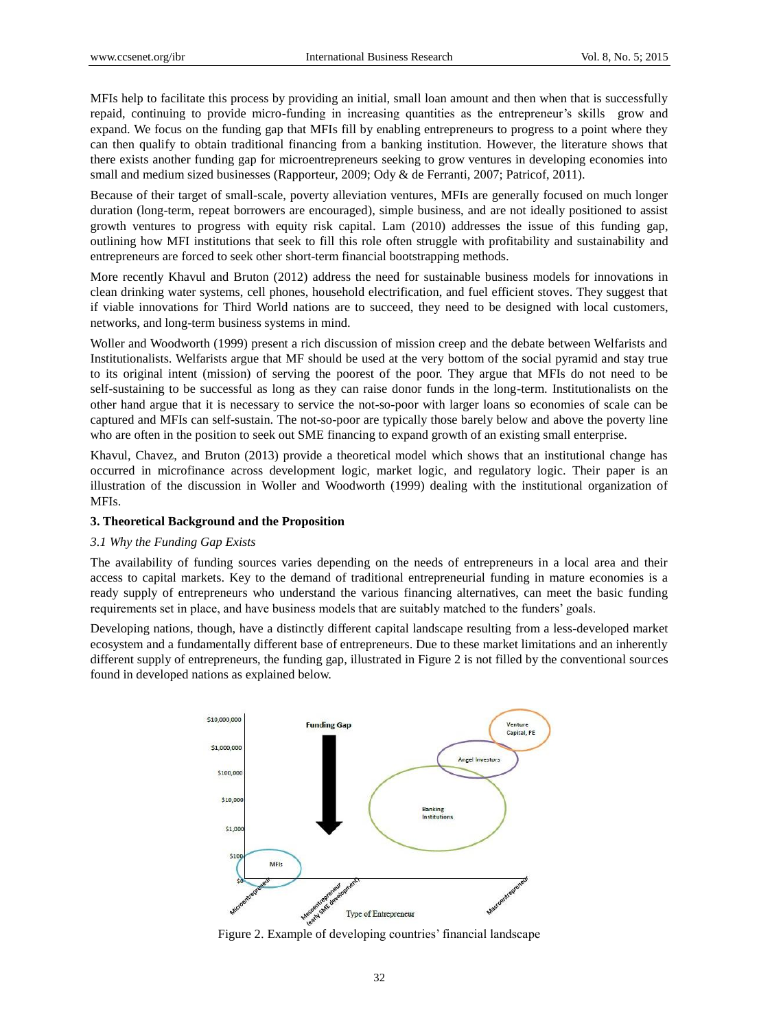MFIs help to facilitate this process by providing an initial, small loan amount and then when that is successfully repaid, continuing to provide micro-funding in increasing quantities as the entrepreneur's skills grow and expand. We focus on the funding gap that MFIs fill by enabling entrepreneurs to progress to a point where they can then qualify to obtain traditional financing from a banking institution. However, the literature shows that there exists another funding gap for microentrepreneurs seeking to grow ventures in developing economies into small and medium sized businesses (Rapporteur, 2009; Ody & de Ferranti, 2007; Patricof, 2011).

Because of their target of small-scale, poverty alleviation ventures, MFIs are generally focused on much longer duration (long-term, repeat borrowers are encouraged), simple business, and are not ideally positioned to assist growth ventures to progress with equity risk capital. Lam (2010) addresses the issue of this funding gap, outlining how MFI institutions that seek to fill this role often struggle with profitability and sustainability and entrepreneurs are forced to seek other short-term financial bootstrapping methods.

More recently Khavul and Bruton (2012) address the need for sustainable business models for innovations in clean drinking water systems, cell phones, household electrification, and fuel efficient stoves. They suggest that if viable innovations for Third World nations are to succeed, they need to be designed with local customers, networks, and long-term business systems in mind.

Woller and Woodworth (1999) present a rich discussion of mission creep and the debate between Welfarists and Institutionalists. Welfarists argue that MF should be used at the very bottom of the social pyramid and stay true to its original intent (mission) of serving the poorest of the poor. They argue that MFIs do not need to be self-sustaining to be successful as long as they can raise donor funds in the long-term. Institutionalists on the other hand argue that it is necessary to service the not-so-poor with larger loans so economies of scale can be captured and MFIs can self-sustain. The not-so-poor are typically those barely below and above the poverty line who are often in the position to seek out SME financing to expand growth of an existing small enterprise.

Khavul, Chavez, and Bruton (2013) provide a theoretical model which shows that an institutional change has occurred in microfinance across development logic, market logic, and regulatory logic. Their paper is an illustration of the discussion in Woller and Woodworth (1999) dealing with the institutional organization of MFIs.

## **3. Theoretical Background and the Proposition**

#### *3.1 Why the Funding Gap Exists*

The availability of funding sources varies depending on the needs of entrepreneurs in a local area and their access to capital markets. Key to the demand of traditional entrepreneurial funding in mature economies is a ready supply of entrepreneurs who understand the various financing alternatives, can meet the basic funding requirements set in place, and have business models that are suitably matched to the funders' goals.

Developing nations, though, have a distinctly different capital landscape resulting from a less-developed market ecosystem and a fundamentally different base of entrepreneurs. Due to these market limitations and an inherently different supply of entrepreneurs, the funding gap, illustrated in Figure 2 is not filled by the conventional sources found in developed nations as explained below.



Figure 2. Example of developing countries' financial landscape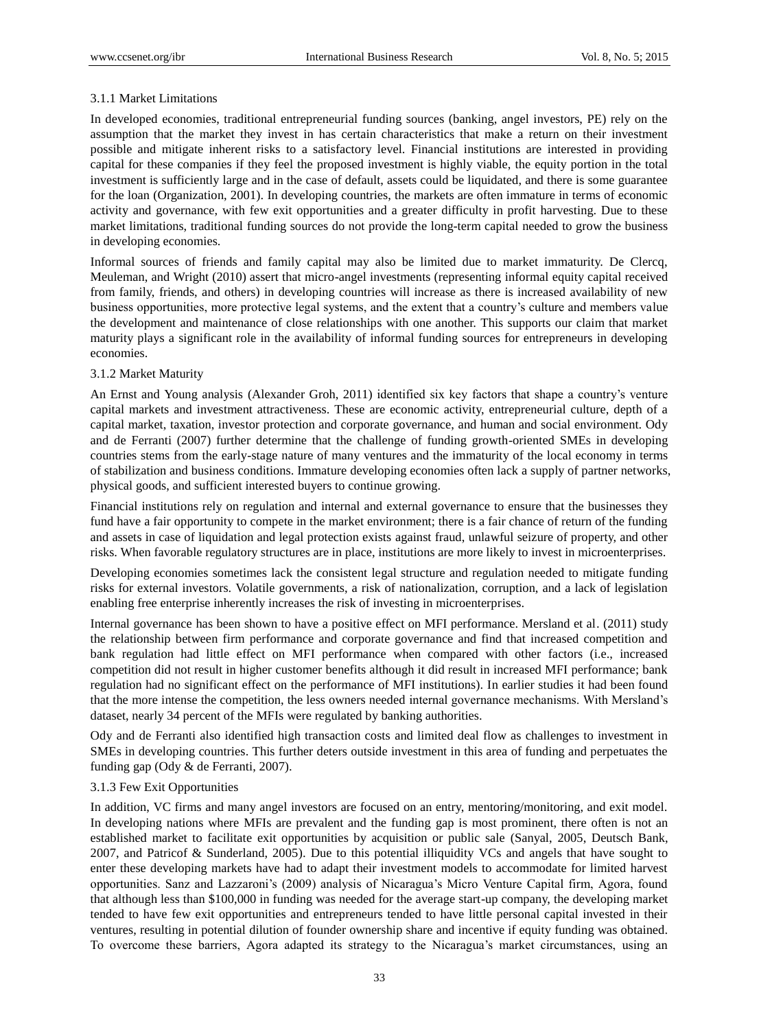# 3.1.1 Market Limitations

In developed economies, traditional entrepreneurial funding sources (banking, angel investors, PE) rely on the assumption that the market they invest in has certain characteristics that make a return on their investment possible and mitigate inherent risks to a satisfactory level. Financial institutions are interested in providing capital for these companies if they feel the proposed investment is highly viable, the equity portion in the total investment is sufficiently large and in the case of default, assets could be liquidated, and there is some guarantee for the loan (Organization, 2001). In developing countries, the markets are often immature in terms of economic activity and governance, with few exit opportunities and a greater difficulty in profit harvesting. Due to these market limitations, traditional funding sources do not provide the long-term capital needed to grow the business in developing economies.

Informal sources of friends and family capital may also be limited due to market immaturity. De Clercq, Meuleman, and Wright (2010) assert that micro-angel investments (representing informal equity capital received from family, friends, and others) in developing countries will increase as there is increased availability of new business opportunities, more protective legal systems, and the extent that a country's culture and members value the development and maintenance of close relationships with one another. This supports our claim that market maturity plays a significant role in the availability of informal funding sources for entrepreneurs in developing economies.

# 3.1.2 Market Maturity

An Ernst and Young analysis (Alexander Groh, 2011) identified six key factors that shape a country's venture capital markets and investment attractiveness. These are economic activity, entrepreneurial culture, depth of a capital market, taxation, investor protection and corporate governance, and human and social environment. Ody and de Ferranti (2007) further determine that the challenge of funding growth-oriented SMEs in developing countries stems from the early-stage nature of many ventures and the immaturity of the local economy in terms of stabilization and business conditions. Immature developing economies often lack a supply of partner networks, physical goods, and sufficient interested buyers to continue growing.

Financial institutions rely on regulation and internal and external governance to ensure that the businesses they fund have a fair opportunity to compete in the market environment; there is a fair chance of return of the funding and assets in case of liquidation and legal protection exists against fraud, unlawful seizure of property, and other risks. When favorable regulatory structures are in place, institutions are more likely to invest in microenterprises.

Developing economies sometimes lack the consistent legal structure and regulation needed to mitigate funding risks for external investors. Volatile governments, a risk of nationalization, corruption, and a lack of legislation enabling free enterprise inherently increases the risk of investing in microenterprises.

Internal governance has been shown to have a positive effect on MFI performance. Mersland et al. (2011) study the relationship between firm performance and corporate governance and find that increased competition and bank regulation had little effect on MFI performance when compared with other factors (i.e., increased competition did not result in higher customer benefits although it did result in increased MFI performance; bank regulation had no significant effect on the performance of MFI institutions). In earlier studies it had been found that the more intense the competition, the less owners needed internal governance mechanisms. With Mersland's dataset, nearly 34 percent of the MFIs were regulated by banking authorities.

Ody and de Ferranti also identified high transaction costs and limited deal flow as challenges to investment in SMEs in developing countries. This further deters outside investment in this area of funding and perpetuates the funding gap (Ody & de Ferranti, 2007).

# 3.1.3 Few Exit Opportunities

In addition, VC firms and many angel investors are focused on an entry, mentoring/monitoring, and exit model. In developing nations where MFIs are prevalent and the funding gap is most prominent, there often is not an established market to facilitate exit opportunities by acquisition or public sale (Sanyal, 2005, Deutsch Bank, 2007, and Patricof & Sunderland, 2005). Due to this potential illiquidity VCs and angels that have sought to enter these developing markets have had to adapt their investment models to accommodate for limited harvest opportunities. Sanz and Lazzaroni's (2009) analysis of Nicaragua's Micro Venture Capital firm, Agora, found that although less than \$100,000 in funding was needed for the average start-up company, the developing market tended to have few exit opportunities and entrepreneurs tended to have little personal capital invested in their ventures, resulting in potential dilution of founder ownership share and incentive if equity funding was obtained. To overcome these barriers, Agora adapted its strategy to the Nicaragua's market circumstances, using an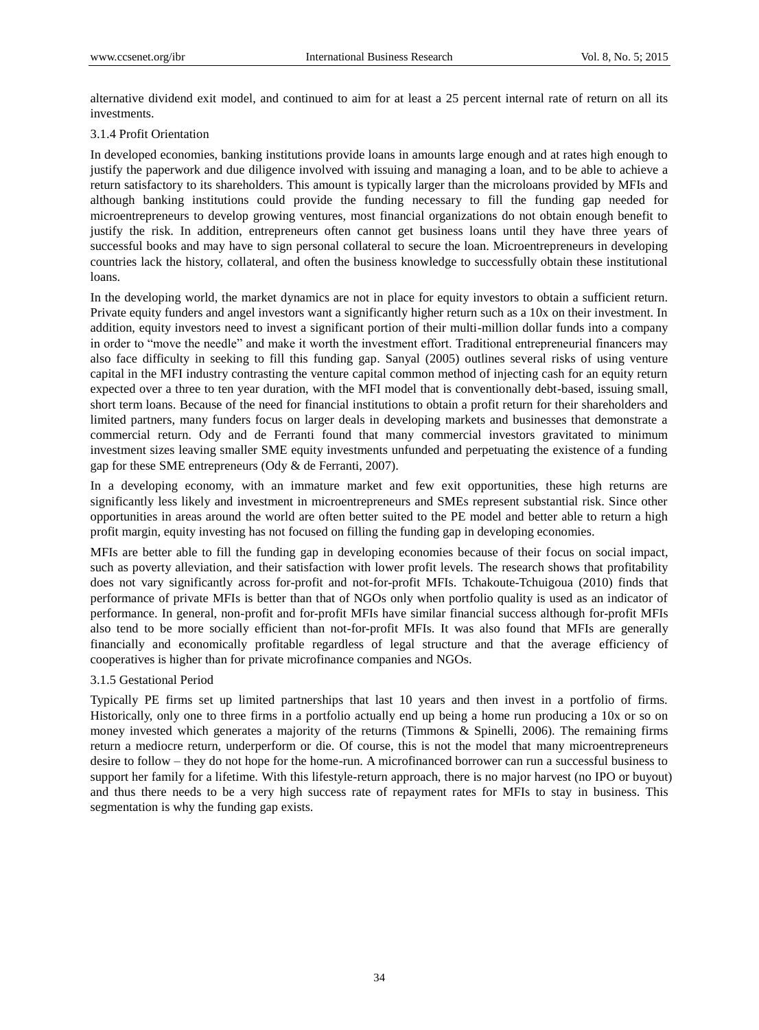alternative dividend exit model, and continued to aim for at least a 25 percent internal rate of return on all its investments.

# 3.1.4 Profit Orientation

In developed economies, banking institutions provide loans in amounts large enough and at rates high enough to justify the paperwork and due diligence involved with issuing and managing a loan, and to be able to achieve a return satisfactory to its shareholders. This amount is typically larger than the microloans provided by MFIs and although banking institutions could provide the funding necessary to fill the funding gap needed for microentrepreneurs to develop growing ventures, most financial organizations do not obtain enough benefit to justify the risk. In addition, entrepreneurs often cannot get business loans until they have three years of successful books and may have to sign personal collateral to secure the loan. Microentrepreneurs in developing countries lack the history, collateral, and often the business knowledge to successfully obtain these institutional loans.

In the developing world, the market dynamics are not in place for equity investors to obtain a sufficient return. Private equity funders and angel investors want a significantly higher return such as a 10x on their investment. In addition, equity investors need to invest a significant portion of their multi-million dollar funds into a company in order to "move the needle" and make it worth the investment effort. Traditional entrepreneurial financers may also face difficulty in seeking to fill this funding gap. Sanyal (2005) outlines several risks of using venture capital in the MFI industry contrasting the venture capital common method of injecting cash for an equity return expected over a three to ten year duration, with the MFI model that is conventionally debt-based, issuing small, short term loans. Because of the need for financial institutions to obtain a profit return for their shareholders and limited partners, many funders focus on larger deals in developing markets and businesses that demonstrate a commercial return. Ody and de Ferranti found that many commercial investors gravitated to minimum investment sizes leaving smaller SME equity investments unfunded and perpetuating the existence of a funding gap for these SME entrepreneurs (Ody & de Ferranti, 2007).

In a developing economy, with an immature market and few exit opportunities, these high returns are significantly less likely and investment in microentrepreneurs and SMEs represent substantial risk. Since other opportunities in areas around the world are often better suited to the PE model and better able to return a high profit margin, equity investing has not focused on filling the funding gap in developing economies.

MFIs are better able to fill the funding gap in developing economies because of their focus on social impact, such as poverty alleviation, and their satisfaction with lower profit levels. The research shows that profitability does not vary significantly across for-profit and not-for-profit MFIs. Tchakoute-Tchuigoua (2010) finds that performance of private MFIs is better than that of NGOs only when portfolio quality is used as an indicator of performance. In general, non-profit and for-profit MFIs have similar financial success although for-profit MFIs also tend to be more socially efficient than not-for-profit MFIs. It was also found that MFIs are generally financially and economically profitable regardless of legal structure and that the average efficiency of cooperatives is higher than for private microfinance companies and NGOs.

# 3.1.5 Gestational Period

Typically PE firms set up limited partnerships that last 10 years and then invest in a portfolio of firms. Historically, only one to three firms in a portfolio actually end up being a home run producing a 10x or so on money invested which generates a majority of the returns (Timmons & Spinelli, 2006). The remaining firms return a mediocre return, underperform or die. Of course, this is not the model that many microentrepreneurs desire to follow – they do not hope for the home-run. A microfinanced borrower can run a successful business to support her family for a lifetime. With this lifestyle-return approach, there is no major harvest (no IPO or buyout) and thus there needs to be a very high success rate of repayment rates for MFIs to stay in business. This segmentation is why the funding gap exists.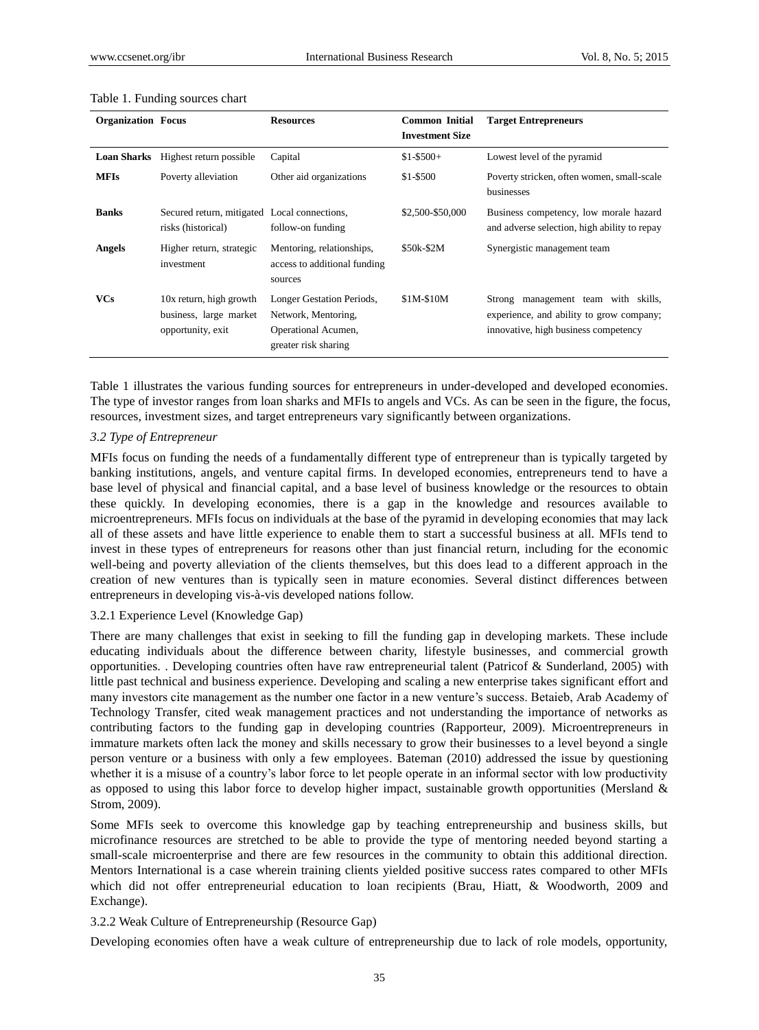| <b>Organization Focus</b> |                                                                        | <b>Resources</b>                                                                                | <b>Common Initial</b><br><b>Investment Size</b> | <b>Target Entrepreneurs</b>                                                                                                |
|---------------------------|------------------------------------------------------------------------|-------------------------------------------------------------------------------------------------|-------------------------------------------------|----------------------------------------------------------------------------------------------------------------------------|
| <b>Loan Sharks</b>        | Highest return possible                                                | Capital                                                                                         | $$1-$500+$                                      | Lowest level of the pyramid                                                                                                |
| <b>MFIs</b>               | Poverty alleviation                                                    | Other aid organizations                                                                         | \$1-\$500                                       | Poverty stricken, often women, small-scale<br>businesses                                                                   |
| <b>Banks</b>              | Secured return, mitigated Local connections,<br>risks (historical)     | follow-on funding                                                                               | \$2,500-\$50,000                                | Business competency, low morale hazard<br>and adverse selection, high ability to repay                                     |
| <b>Angels</b>             | Higher return, strategic<br>investment                                 | Mentoring, relationships,<br>access to additional funding<br>sources                            | \$50k-\$2M                                      | Synergistic management team                                                                                                |
| <b>VCs</b>                | 10x return, high growth<br>business, large market<br>opportunity, exit | Longer Gestation Periods,<br>Network, Mentoring,<br>Operational Acumen,<br>greater risk sharing | \$1M-\$10M                                      | management team with skills,<br>Strong<br>experience, and ability to grow company;<br>innovative, high business competency |

#### Table 1. Funding sources chart

Table 1 illustrates the various funding sources for entrepreneurs in under-developed and developed economies. The type of investor ranges from loan sharks and MFIs to angels and VCs. As can be seen in the figure, the focus, resources, investment sizes, and target entrepreneurs vary significantly between organizations.

## *3.2 Type of Entrepreneur*

MFIs focus on funding the needs of a fundamentally different type of entrepreneur than is typically targeted by banking institutions, angels, and venture capital firms. In developed economies, entrepreneurs tend to have a base level of physical and financial capital, and a base level of business knowledge or the resources to obtain these quickly. In developing economies, there is a gap in the knowledge and resources available to microentrepreneurs. MFIs focus on individuals at the base of the pyramid in developing economies that may lack all of these assets and have little experience to enable them to start a successful business at all. MFIs tend to invest in these types of entrepreneurs for reasons other than just financial return, including for the economic well-being and poverty alleviation of the clients themselves, but this does lead to a different approach in the creation of new ventures than is typically seen in mature economies. Several distinct differences between entrepreneurs in developing vis-à-vis developed nations follow.

## 3.2.1 Experience Level (Knowledge Gap)

There are many challenges that exist in seeking to fill the funding gap in developing markets. These include educating individuals about the difference between charity, lifestyle businesses, and commercial growth opportunities. . Developing countries often have raw entrepreneurial talent (Patricof & Sunderland, 2005) with little past technical and business experience. Developing and scaling a new enterprise takes significant effort and many investors cite management as the number one factor in a new venture's success. Betaieb, Arab Academy of Technology Transfer, cited weak management practices and not understanding the importance of networks as contributing factors to the funding gap in developing countries (Rapporteur, 2009). Microentrepreneurs in immature markets often lack the money and skills necessary to grow their businesses to a level beyond a single person venture or a business with only a few employees. Bateman (2010) addressed the issue by questioning whether it is a misuse of a country's labor force to let people operate in an informal sector with low productivity as opposed to using this labor force to develop higher impact, sustainable growth opportunities (Mersland & Strom, 2009).

Some MFIs seek to overcome this knowledge gap by teaching entrepreneurship and business skills, but microfinance resources are stretched to be able to provide the type of mentoring needed beyond starting a small-scale microenterprise and there are few resources in the community to obtain this additional direction. Mentors International is a case wherein training clients yielded positive success rates compared to other MFIs which did not offer entrepreneurial education to loan recipients (Brau, Hiatt, & Woodworth, 2009 and Exchange).

## 3.2.2 Weak Culture of Entrepreneurship (Resource Gap)

Developing economies often have a weak culture of entrepreneurship due to lack of role models, opportunity,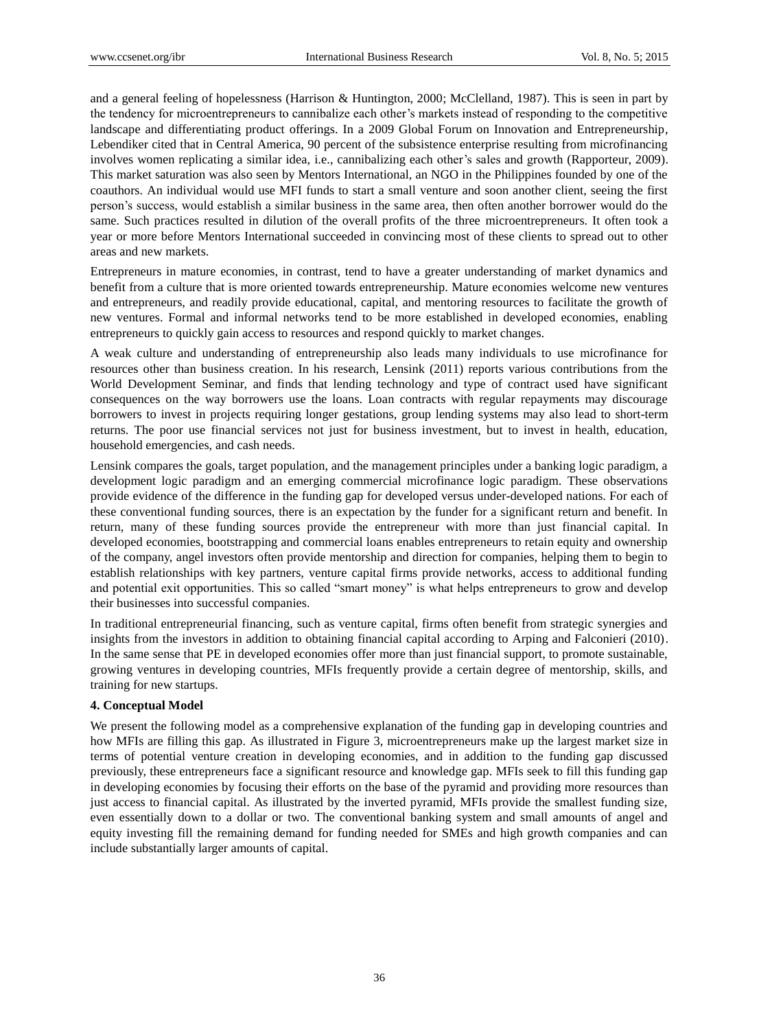and a general feeling of hopelessness (Harrison & Huntington, 2000; McClelland, 1987). This is seen in part by the tendency for microentrepreneurs to cannibalize each other's markets instead of responding to the competitive landscape and differentiating product offerings. In a 2009 Global Forum on Innovation and Entrepreneurship, Lebendiker cited that in Central America, 90 percent of the subsistence enterprise resulting from microfinancing involves women replicating a similar idea, i.e., cannibalizing each other's sales and growth (Rapporteur, 2009). This market saturation was also seen by Mentors International, an NGO in the Philippines founded by one of the coauthors. An individual would use MFI funds to start a small venture and soon another client, seeing the first person's success, would establish a similar business in the same area, then often another borrower would do the same. Such practices resulted in dilution of the overall profits of the three microentrepreneurs. It often took a year or more before Mentors International succeeded in convincing most of these clients to spread out to other areas and new markets.

Entrepreneurs in mature economies, in contrast, tend to have a greater understanding of market dynamics and benefit from a culture that is more oriented towards entrepreneurship. Mature economies welcome new ventures and entrepreneurs, and readily provide educational, capital, and mentoring resources to facilitate the growth of new ventures. Formal and informal networks tend to be more established in developed economies, enabling entrepreneurs to quickly gain access to resources and respond quickly to market changes.

A weak culture and understanding of entrepreneurship also leads many individuals to use microfinance for resources other than business creation. In his research, Lensink (2011) reports various contributions from the World Development Seminar, and finds that lending technology and type of contract used have significant consequences on the way borrowers use the loans. Loan contracts with regular repayments may discourage borrowers to invest in projects requiring longer gestations, group lending systems may also lead to short-term returns. The poor use financial services not just for business investment, but to invest in health, education, household emergencies, and cash needs.

Lensink compares the goals, target population, and the management principles under a banking logic paradigm, a development logic paradigm and an emerging commercial microfinance logic paradigm. These observations provide evidence of the difference in the funding gap for developed versus under-developed nations. For each of these conventional funding sources, there is an expectation by the funder for a significant return and benefit. In return, many of these funding sources provide the entrepreneur with more than just financial capital. In developed economies, bootstrapping and commercial loans enables entrepreneurs to retain equity and ownership of the company, angel investors often provide mentorship and direction for companies, helping them to begin to establish relationships with key partners, venture capital firms provide networks, access to additional funding and potential exit opportunities. This so called "smart money" is what helps entrepreneurs to grow and develop their businesses into successful companies.

In traditional entrepreneurial financing, such as venture capital, firms often benefit from strategic synergies and insights from the investors in addition to obtaining financial capital according to Arping and Falconieri (2010). In the same sense that PE in developed economies offer more than just financial support, to promote sustainable, growing ventures in developing countries, MFIs frequently provide a certain degree of mentorship, skills, and training for new startups.

# **4. Conceptual Model**

We present the following model as a comprehensive explanation of the funding gap in developing countries and how MFIs are filling this gap. As illustrated in Figure 3, microentrepreneurs make up the largest market size in terms of potential venture creation in developing economies, and in addition to the funding gap discussed previously, these entrepreneurs face a significant resource and knowledge gap. MFIs seek to fill this funding gap in developing economies by focusing their efforts on the base of the pyramid and providing more resources than just access to financial capital. As illustrated by the inverted pyramid, MFIs provide the smallest funding size, even essentially down to a dollar or two. The conventional banking system and small amounts of angel and equity investing fill the remaining demand for funding needed for SMEs and high growth companies and can include substantially larger amounts of capital.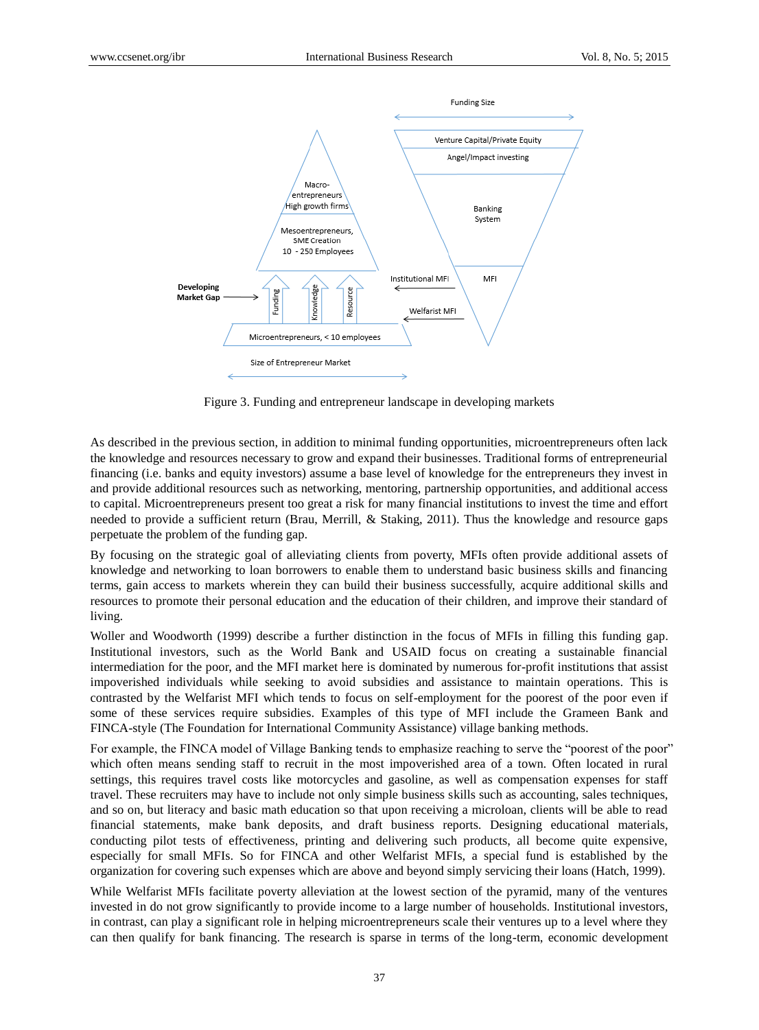

Figure 3. Funding and entrepreneur landscape in developing markets

As described in the previous section, in addition to minimal funding opportunities, microentrepreneurs often lack the knowledge and resources necessary to grow and expand their businesses. Traditional forms of entrepreneurial financing (i.e. banks and equity investors) assume a base level of knowledge for the entrepreneurs they invest in and provide additional resources such as networking, mentoring, partnership opportunities, and additional access to capital. Microentrepreneurs present too great a risk for many financial institutions to invest the time and effort needed to provide a sufficient return (Brau, Merrill, & Staking, 2011). Thus the knowledge and resource gaps perpetuate the problem of the funding gap.

By focusing on the strategic goal of alleviating clients from poverty, MFIs often provide additional assets of knowledge and networking to loan borrowers to enable them to understand basic business skills and financing terms, gain access to markets wherein they can build their business successfully, acquire additional skills and resources to promote their personal education and the education of their children, and improve their standard of living.

Woller and Woodworth (1999) describe a further distinction in the focus of MFIs in filling this funding gap. Institutional investors, such as the World Bank and USAID focus on creating a sustainable financial intermediation for the poor, and the MFI market here is dominated by numerous for-profit institutions that assist impoverished individuals while seeking to avoid subsidies and assistance to maintain operations. This is contrasted by the Welfarist MFI which tends to focus on self-employment for the poorest of the poor even if some of these services require subsidies. Examples of this type of MFI include the Grameen Bank and FINCA-style (The Foundation for International Community Assistance) village banking methods.

For example, the FINCA model of Village Banking tends to emphasize reaching to serve the "poorest of the poor" which often means sending staff to recruit in the most impoverished area of a town. Often located in rural settings, this requires travel costs like motorcycles and gasoline, as well as compensation expenses for staff travel. These recruiters may have to include not only simple business skills such as accounting, sales techniques, and so on, but literacy and basic math education so that upon receiving a microloan, clients will be able to read financial statements, make bank deposits, and draft business reports. Designing educational materials, conducting pilot tests of effectiveness, printing and delivering such products, all become quite expensive, especially for small MFIs. So for FINCA and other Welfarist MFIs, a special fund is established by the organization for covering such expenses which are above and beyond simply servicing their loans (Hatch, 1999).

While Welfarist MFIs facilitate poverty alleviation at the lowest section of the pyramid, many of the ventures invested in do not grow significantly to provide income to a large number of households. Institutional investors, in contrast, can play a significant role in helping microentrepreneurs scale their ventures up to a level where they can then qualify for bank financing. The research is sparse in terms of the long-term, economic development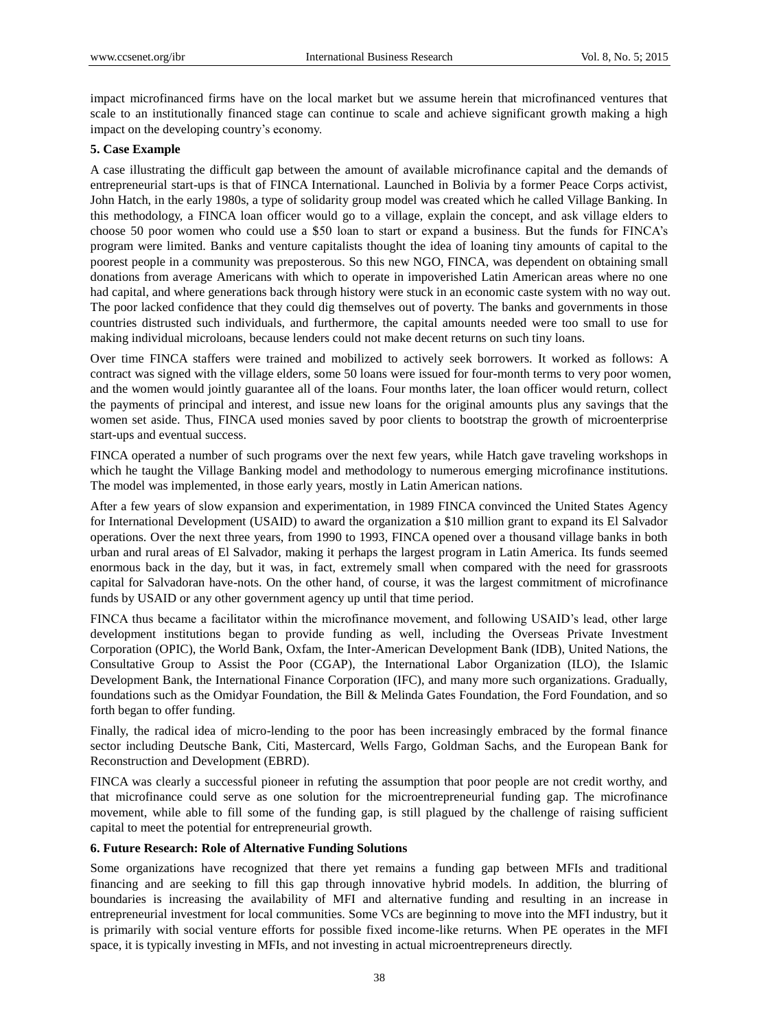impact microfinanced firms have on the local market but we assume herein that microfinanced ventures that scale to an institutionally financed stage can continue to scale and achieve significant growth making a high impact on the developing country's economy.

## **5. Case Example**

A case illustrating the difficult gap between the amount of available microfinance capital and the demands of entrepreneurial start-ups is that of FINCA International. Launched in Bolivia by a former Peace Corps activist, John Hatch, in the early 1980s, a type of solidarity group model was created which he called Village Banking. In this methodology, a FINCA loan officer would go to a village, explain the concept, and ask village elders to choose 50 poor women who could use a \$50 loan to start or expand a business. But the funds for FINCA's program were limited. Banks and venture capitalists thought the idea of loaning tiny amounts of capital to the poorest people in a community was preposterous. So this new NGO, FINCA, was dependent on obtaining small donations from average Americans with which to operate in impoverished Latin American areas where no one had capital, and where generations back through history were stuck in an economic caste system with no way out. The poor lacked confidence that they could dig themselves out of poverty. The banks and governments in those countries distrusted such individuals, and furthermore, the capital amounts needed were too small to use for making individual microloans, because lenders could not make decent returns on such tiny loans.

Over time FINCA staffers were trained and mobilized to actively seek borrowers. It worked as follows: A contract was signed with the village elders, some 50 loans were issued for four-month terms to very poor women, and the women would jointly guarantee all of the loans. Four months later, the loan officer would return, collect the payments of principal and interest, and issue new loans for the original amounts plus any savings that the women set aside. Thus, FINCA used monies saved by poor clients to bootstrap the growth of microenterprise start-ups and eventual success.

FINCA operated a number of such programs over the next few years, while Hatch gave traveling workshops in which he taught the Village Banking model and methodology to numerous emerging microfinance institutions. The model was implemented, in those early years, mostly in Latin American nations.

After a few years of slow expansion and experimentation, in 1989 FINCA convinced the United States Agency for International Development (USAID) to award the organization a \$10 million grant to expand its El Salvador operations. Over the next three years, from 1990 to 1993, FINCA opened over a thousand village banks in both urban and rural areas of El Salvador, making it perhaps the largest program in Latin America. Its funds seemed enormous back in the day, but it was, in fact, extremely small when compared with the need for grassroots capital for Salvadoran have-nots. On the other hand, of course, it was the largest commitment of microfinance funds by USAID or any other government agency up until that time period.

FINCA thus became a facilitator within the microfinance movement, and following USAID's lead, other large development institutions began to provide funding as well, including the Overseas Private Investment Corporation (OPIC), the World Bank, Oxfam, the Inter-American Development Bank (IDB), United Nations, the Consultative Group to Assist the Poor (CGAP), the International Labor Organization (ILO), the Islamic Development Bank, the International Finance Corporation (IFC), and many more such organizations. Gradually, foundations such as the Omidyar Foundation, the Bill & Melinda Gates Foundation, the Ford Foundation, and so forth began to offer funding.

Finally, the radical idea of micro-lending to the poor has been increasingly embraced by the formal finance sector including Deutsche Bank, Citi, Mastercard, Wells Fargo, Goldman Sachs, and the European Bank for Reconstruction and Development (EBRD).

FINCA was clearly a successful pioneer in refuting the assumption that poor people are not credit worthy, and that microfinance could serve as one solution for the microentrepreneurial funding gap. The microfinance movement, while able to fill some of the funding gap, is still plagued by the challenge of raising sufficient capital to meet the potential for entrepreneurial growth.

### **6. Future Research: Role of Alternative Funding Solutions**

Some organizations have recognized that there yet remains a funding gap between MFIs and traditional financing and are seeking to fill this gap through innovative hybrid models. In addition, the blurring of boundaries is increasing the availability of MFI and alternative funding and resulting in an increase in entrepreneurial investment for local communities. Some VCs are beginning to move into the MFI industry, but it is primarily with social venture efforts for possible fixed income-like returns. When PE operates in the MFI space, it is typically investing in MFIs, and not investing in actual microentrepreneurs directly.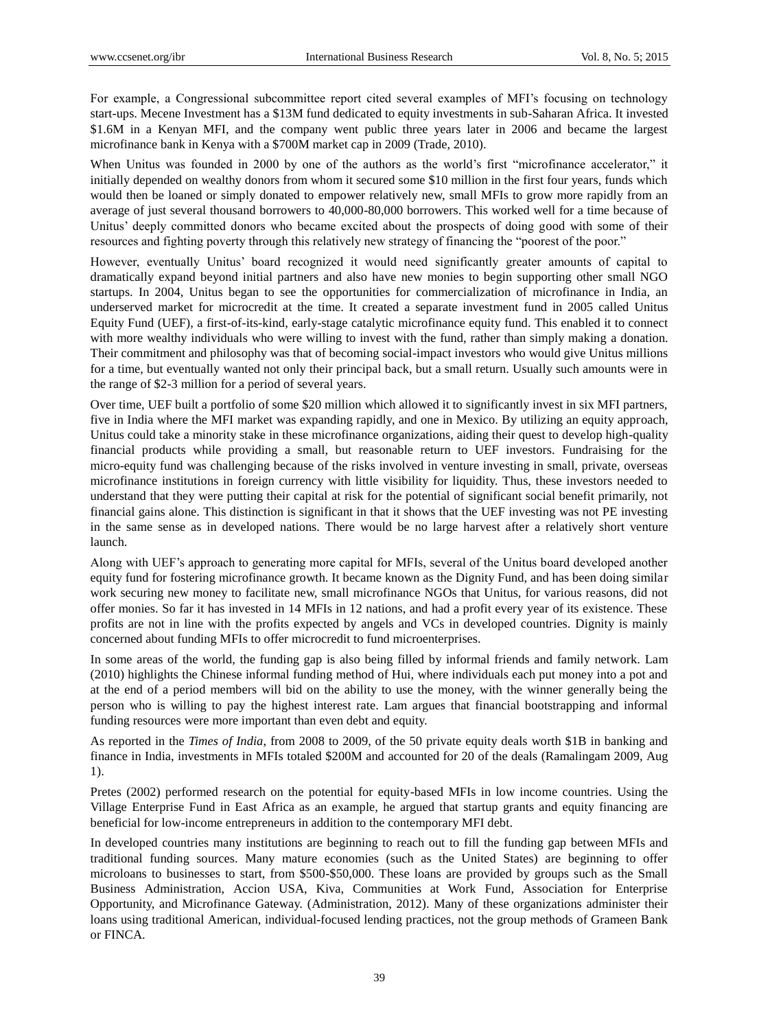For example, a Congressional subcommittee report cited several examples of MFI's focusing on technology start-ups. Mecene Investment has a \$13M fund dedicated to equity investments in sub-Saharan Africa. It invested \$1.6M in a Kenyan MFI, and the company went public three years later in 2006 and became the largest microfinance bank in Kenya with a \$700M market cap in 2009 (Trade, 2010).

When Unitus was founded in 2000 by one of the authors as the world's first "microfinance accelerator," it initially depended on wealthy donors from whom it secured some \$10 million in the first four years, funds which would then be loaned or simply donated to empower relatively new, small MFIs to grow more rapidly from an average of just several thousand borrowers to 40,000-80,000 borrowers. This worked well for a time because of Unitus' deeply committed donors who became excited about the prospects of doing good with some of their resources and fighting poverty through this relatively new strategy of financing the "poorest of the poor."

However, eventually Unitus' board recognized it would need significantly greater amounts of capital to dramatically expand beyond initial partners and also have new monies to begin supporting other small NGO startups. In 2004, Unitus began to see the opportunities for commercialization of microfinance in India, an underserved market for microcredit at the time. It created a separate investment fund in 2005 called Unitus Equity Fund (UEF), a first-of-its-kind, early-stage catalytic microfinance equity fund. This enabled it to connect with more wealthy individuals who were willing to invest with the fund, rather than simply making a donation. Their commitment and philosophy was that of becoming social-impact investors who would give Unitus millions for a time, but eventually wanted not only their principal back, but a small return. Usually such amounts were in the range of \$2-3 million for a period of several years.

Over time, UEF built a portfolio of some \$20 million which allowed it to significantly invest in six MFI partners, five in India where the MFI market was expanding rapidly, and one in Mexico. By utilizing an equity approach, Unitus could take a minority stake in these microfinance organizations, aiding their quest to develop high-quality financial products while providing a small, but reasonable return to UEF investors. Fundraising for the micro-equity fund was challenging because of the risks involved in venture investing in small, private, overseas microfinance institutions in foreign currency with little visibility for liquidity. Thus, these investors needed to understand that they were putting their capital at risk for the potential of significant social benefit primarily, not financial gains alone. This distinction is significant in that it shows that the UEF investing was not PE investing in the same sense as in developed nations. There would be no large harvest after a relatively short venture launch.

Along with UEF's approach to generating more capital for MFIs, several of the Unitus board developed another equity fund for fostering microfinance growth. It became known as the Dignity Fund, and has been doing similar work securing new money to facilitate new, small microfinance NGOs that Unitus, for various reasons, did not offer monies. So far it has invested in 14 MFIs in 12 nations, and had a profit every year of its existence. These profits are not in line with the profits expected by angels and VCs in developed countries. Dignity is mainly concerned about funding MFIs to offer microcredit to fund microenterprises.

In some areas of the world, the funding gap is also being filled by informal friends and family network. Lam (2010) highlights the Chinese informal funding method of Hui, where individuals each put money into a pot and at the end of a period members will bid on the ability to use the money, with the winner generally being the person who is willing to pay the highest interest rate. Lam argues that financial bootstrapping and informal funding resources were more important than even debt and equity.

As reported in the *Times of India*, from 2008 to 2009, of the 50 private equity deals worth \$1B in banking and finance in India, investments in MFIs totaled \$200M and accounted for 20 of the deals (Ramalingam 2009, Aug 1).

Pretes (2002) performed research on the potential for equity-based MFIs in low income countries. Using the Village Enterprise Fund in East Africa as an example, he argued that startup grants and equity financing are beneficial for low-income entrepreneurs in addition to the contemporary MFI debt.

In developed countries many institutions are beginning to reach out to fill the funding gap between MFIs and traditional funding sources. Many mature economies (such as the United States) are beginning to offer microloans to businesses to start, from \$500-\$50,000. These loans are provided by groups such as the Small Business Administration, Accion USA, Kiva, Communities at Work Fund, Association for Enterprise Opportunity, and Microfinance Gateway. (Administration, 2012). Many of these organizations administer their loans using traditional American, individual-focused lending practices, not the group methods of Grameen Bank or FINCA.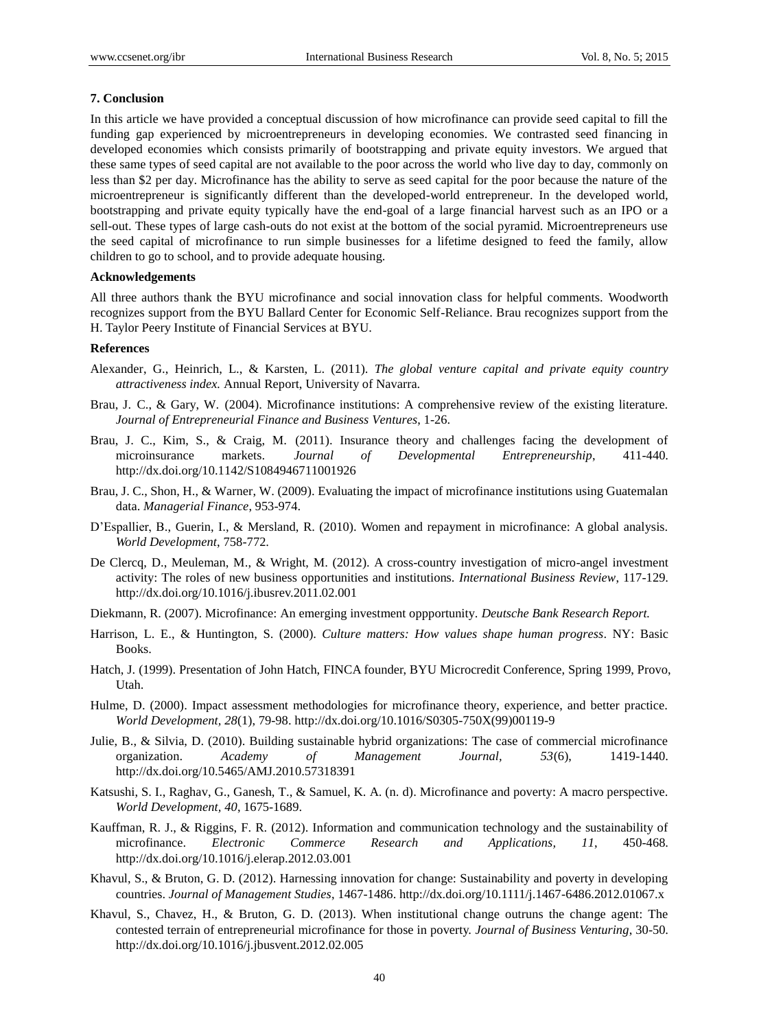## **7. Conclusion**

In this article we have provided a conceptual discussion of how microfinance can provide seed capital to fill the funding gap experienced by microentrepreneurs in developing economies. We contrasted seed financing in developed economies which consists primarily of bootstrapping and private equity investors. We argued that these same types of seed capital are not available to the poor across the world who live day to day, commonly on less than \$2 per day. Microfinance has the ability to serve as seed capital for the poor because the nature of the microentrepreneur is significantly different than the developed-world entrepreneur. In the developed world, bootstrapping and private equity typically have the end-goal of a large financial harvest such as an IPO or a sell-out. These types of large cash-outs do not exist at the bottom of the social pyramid. Microentrepreneurs use the seed capital of microfinance to run simple businesses for a lifetime designed to feed the family, allow children to go to school, and to provide adequate housing.

## **Acknowledgements**

All three authors thank the BYU microfinance and social innovation class for helpful comments. Woodworth recognizes support from the BYU Ballard Center for Economic Self-Reliance. Brau recognizes support from the H. Taylor Peery Institute of Financial Services at BYU.

# **References**

- Alexander, G., Heinrich, L., & Karsten, L. (2011). *The global venture capital and private equity country attractiveness index.* Annual Report, University of Navarra.
- Brau, J. C., & Gary, W. (2004). Microfinance institutions: A comprehensive review of the existing literature. *Journal of Entrepreneurial Finance and Business Ventures*, 1-26.
- Brau, J. C., Kim, S., & Craig, M. (2011). Insurance theory and challenges facing the development of microinsurance markets. *Journal of Developmental Entrepreneurship*, 411-440. http://dx.doi.org/10.1142/S1084946711001926
- Brau, J. C., Shon, H., & Warner, W. (2009). Evaluating the impact of microfinance institutions using Guatemalan data. *Managerial Finance*, 953-974.
- D'Espallier, B., Guerin, I., & Mersland, R. (2010). Women and repayment in microfinance: A global analysis. *World Development*, 758-772.
- De Clercq, D., Meuleman, M., & Wright, M. (2012). A cross-country investigation of micro-angel investment activity: The roles of new business opportunities and institutions. *International Business Review*, 117-129. http://dx.doi.org/10.1016/j.ibusrev.2011.02.001
- Diekmann, R. (2007). Microfinance: An emerging investment oppportunity. *Deutsche Bank Research Report.*
- Harrison, L. E., & Huntington, S. (2000). *Culture matters: How values shape human progress*. NY: Basic Books.
- Hatch, J. (1999). Presentation of John Hatch, FINCA founder, BYU Microcredit Conference, Spring 1999, Provo, Utah.
- Hulme, D. (2000). Impact assessment methodologies for microfinance theory, experience, and better practice. *World Development, 28*(1), 79-98. http://dx.doi.org/10.1016/S0305-750X(99)00119-9
- Julie, B., & Silvia, D. (2010). Building sustainable hybrid organizations: The case of commercial microfinance organization. *Academy of Management Journal, 53*(6), 1419-1440. http://dx.doi.org/10.5465/AMJ.2010.57318391
- Katsushi, S. I., Raghav, G., Ganesh, T., & Samuel, K. A. (n. d). Microfinance and poverty: A macro perspective. *World Development, 40*, 1675-1689.
- Kauffman, R. J., & Riggins, F. R. (2012). Information and communication technology and the sustainability of microfinance. *Electronic Commerce Research and Applications, 11*, 450-468. http://dx.doi.org/10.1016/j.elerap.2012.03.001
- Khavul, S., & Bruton, G. D. (2012). Harnessing innovation for change: Sustainability and poverty in developing countries. *Journal of Management Studies*, 1467-1486. http://dx.doi.org/10.1111/j.1467-6486.2012.01067.x
- Khavul, S., Chavez, H., & Bruton, G. D. (2013). When institutional change outruns the change agent: The contested terrain of entrepreneurial microfinance for those in poverty. *Journal of Business Venturing*, 30-50. http://dx.doi.org/10.1016/j.jbusvent.2012.02.005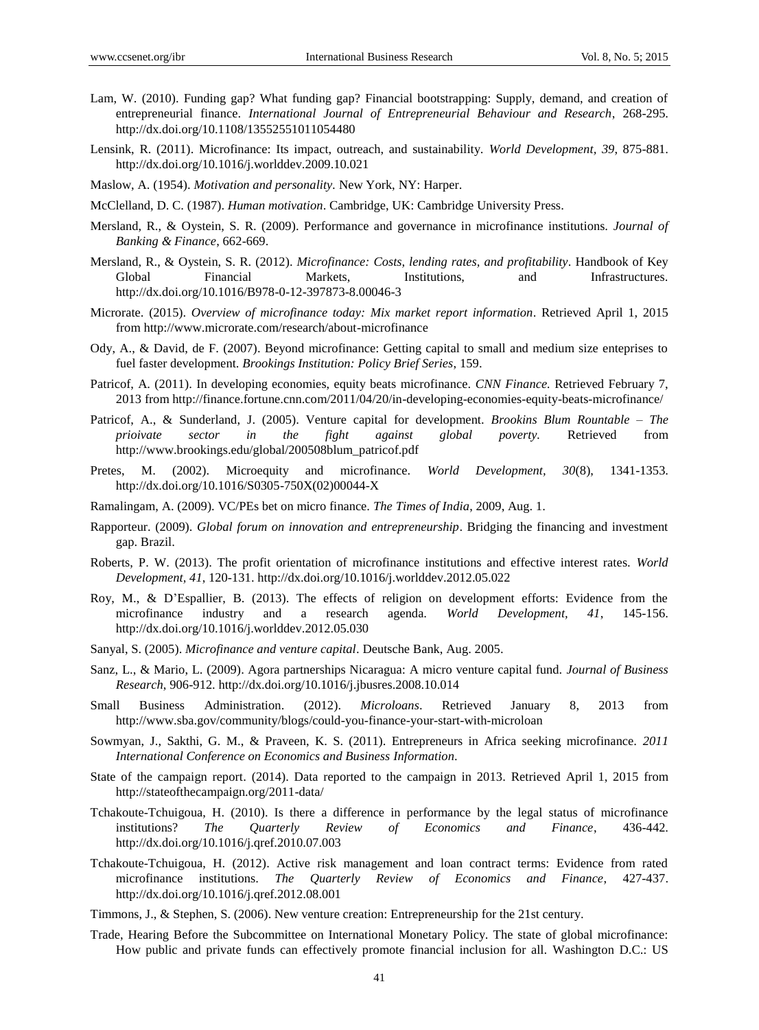- Lam, W. (2010). Funding gap? What funding gap? Financial bootstrapping: Supply, demand, and creation of entrepreneurial finance. *International Journal of Entrepreneurial Behaviour and Research*, 268-295. http://dx.doi.org/10.1108/13552551011054480
- Lensink, R. (2011). Microfinance: Its impact, outreach, and sustainability. *World Development, 39*, 875-881. http://dx.doi.org/10.1016/j.worlddev.2009.10.021
- Maslow, A. (1954). *Motivation and personality.* New York, NY: Harper.
- McClelland, D. C. (1987). *Human motivation*. Cambridge, UK: Cambridge University Press.
- Mersland, R., & Oystein, S. R. (2009). Performance and governance in microfinance institutions. *Journal of Banking & Finance*, 662-669.
- Mersland, R., & Oystein, S. R. (2012). *Microfinance: Costs, lending rates, and profitability*. Handbook of Key Global Financial Markets, Institutions, and Infrastructures. http://dx.doi.org/10.1016/B978-0-12-397873-8.00046-3
- Microrate. (2015). *Overview of microfinance today: Mix market report information*. Retrieved April 1, 2015 from http://www.microrate.com/research/about-microfinance
- Ody, A., & David, de F. (2007). Beyond microfinance: Getting capital to small and medium size enteprises to fuel faster development. *Brookings Institution: Policy Brief Series*, 159.
- Patricof, A. (2011). In developing economies, equity beats microfinance. *CNN Finance.* Retrieved February 7, 2013 from http://finance.fortune.cnn.com/2011/04/20/in-developing-economies-equity-beats-microfinance/
- Patricof, A., & Sunderland, J. (2005). Venture capital for development. *Brookins Blum Rountable – The prioivate sector in the fight against global poverty.* Retrieved from http://www.brookings.edu/global/200508blum\_patricof.pdf
- Pretes, M. (2002). Microequity and microfinance. *World Development, 30*(8), 1341-1353. http://dx.doi.org/10.1016/S0305-750X(02)00044-X
- Ramalingam, A. (2009). VC/PEs bet on micro finance. *The Times of India*, 2009, Aug. 1.
- Rapporteur. (2009). *Global forum on innovation and entrepreneurship*. Bridging the financing and investment gap. Brazil.
- Roberts, P. W. (2013). The profit orientation of microfinance institutions and effective interest rates. *World Development, 41*, 120-131. http://dx.doi.org/10.1016/j.worlddev.2012.05.022
- Roy, M., & D'Espallier, B. (2013). The effects of religion on development efforts: Evidence from the microfinance industry and a research agenda. *World Development, 41*, 145-156. http://dx.doi.org/10.1016/j.worlddev.2012.05.030
- Sanyal, S. (2005). *Microfinance and venture capital*. Deutsche Bank, Aug. 2005.
- Sanz, L., & Mario, L. (2009). Agora partnerships Nicaragua: A micro venture capital fund. *Journal of Business Research*, 906-912. http://dx.doi.org/10.1016/j.jbusres.2008.10.014
- Small Business Administration. (2012). *Microloans*. Retrieved January 8, 2013 from http://www.sba.gov/community/blogs/could-you-finance-your-start-with-microloan
- Sowmyan, J., Sakthi, G. M., & Praveen, K. S. (2011). Entrepreneurs in Africa seeking microfinance. *2011 International Conference on Economics and Business Information*.
- State of the campaign report. (2014). Data reported to the campaign in 2013. Retrieved April 1, 2015 from http://stateofthecampaign.org/2011-data/
- Tchakoute-Tchuigoua, H. (2010). Is there a difference in performance by the legal status of microfinance institutions? *The Quarterly Review of Economics and Finance*, 436-442. http://dx.doi.org/10.1016/j.qref.2010.07.003
- Tchakoute-Tchuigoua, H. (2012). Active risk management and loan contract terms: Evidence from rated microfinance institutions. *The Quarterly Review of Economics and Finance*, 427-437. http://dx.doi.org/10.1016/j.qref.2012.08.001
- Timmons, J., & Stephen, S. (2006). New venture creation: Entrepreneurship for the 21st century.
- Trade, Hearing Before the Subcommittee on International Monetary Policy. The state of global microfinance: How public and private funds can effectively promote financial inclusion for all. Washington D.C.: US